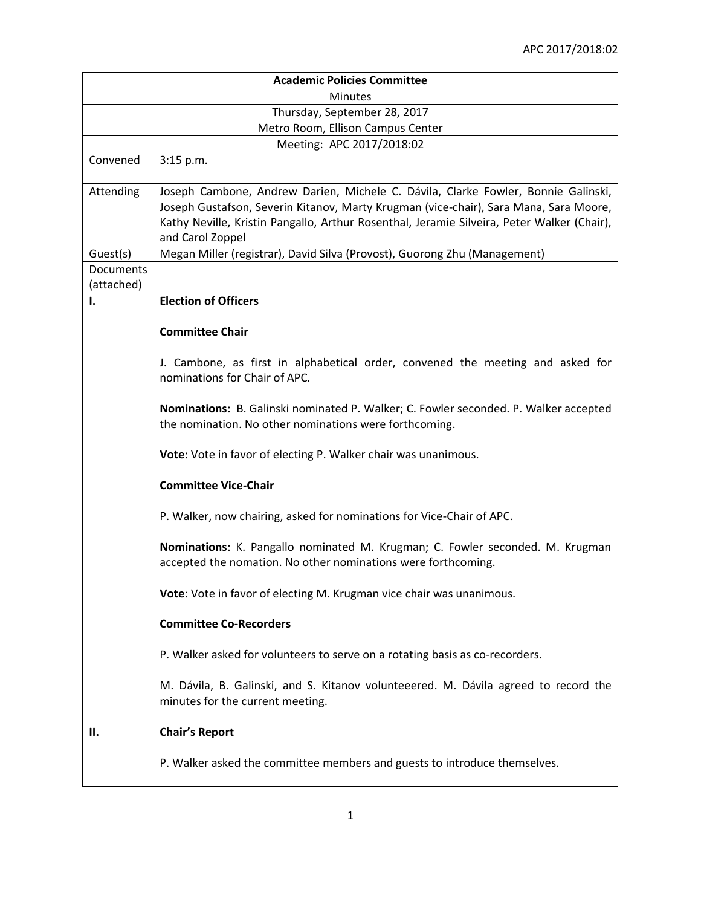| <b>Academic Policies Committee</b> |                                                                                                                                                                                                                                                                                              |  |
|------------------------------------|----------------------------------------------------------------------------------------------------------------------------------------------------------------------------------------------------------------------------------------------------------------------------------------------|--|
| <b>Minutes</b>                     |                                                                                                                                                                                                                                                                                              |  |
| Thursday, September 28, 2017       |                                                                                                                                                                                                                                                                                              |  |
| Metro Room, Ellison Campus Center  |                                                                                                                                                                                                                                                                                              |  |
| Meeting: APC 2017/2018:02          |                                                                                                                                                                                                                                                                                              |  |
| Convened                           | 3:15 p.m.                                                                                                                                                                                                                                                                                    |  |
| Attending                          | Joseph Cambone, Andrew Darien, Michele C. Dávila, Clarke Fowler, Bonnie Galinski,<br>Joseph Gustafson, Severin Kitanov, Marty Krugman (vice-chair), Sara Mana, Sara Moore,<br>Kathy Neville, Kristin Pangallo, Arthur Rosenthal, Jeramie Silveira, Peter Walker (Chair),<br>and Carol Zoppel |  |
| Guest(s)                           | Megan Miller (registrar), David Silva (Provost), Guorong Zhu (Management)                                                                                                                                                                                                                    |  |
| Documents<br>(attached)            |                                                                                                                                                                                                                                                                                              |  |
| 1.                                 | <b>Election of Officers</b>                                                                                                                                                                                                                                                                  |  |
|                                    | <b>Committee Chair</b>                                                                                                                                                                                                                                                                       |  |
|                                    | J. Cambone, as first in alphabetical order, convened the meeting and asked for<br>nominations for Chair of APC.                                                                                                                                                                              |  |
|                                    | Nominations: B. Galinski nominated P. Walker; C. Fowler seconded. P. Walker accepted<br>the nomination. No other nominations were forthcoming.                                                                                                                                               |  |
|                                    | Vote: Vote in favor of electing P. Walker chair was unanimous.                                                                                                                                                                                                                               |  |
|                                    | <b>Committee Vice-Chair</b>                                                                                                                                                                                                                                                                  |  |
|                                    | P. Walker, now chairing, asked for nominations for Vice-Chair of APC.                                                                                                                                                                                                                        |  |
|                                    | Nominations: K. Pangallo nominated M. Krugman; C. Fowler seconded. M. Krugman<br>accepted the nomation. No other nominations were forthcoming.                                                                                                                                               |  |
|                                    | Vote: Vote in favor of electing M. Krugman vice chair was unanimous.                                                                                                                                                                                                                         |  |
|                                    | <b>Committee Co-Recorders</b>                                                                                                                                                                                                                                                                |  |
|                                    | P. Walker asked for volunteers to serve on a rotating basis as co-recorders.                                                                                                                                                                                                                 |  |
|                                    | M. Dávila, B. Galinski, and S. Kitanov volunteeered. M. Dávila agreed to record the<br>minutes for the current meeting.                                                                                                                                                                      |  |
| П.                                 | <b>Chair's Report</b>                                                                                                                                                                                                                                                                        |  |
|                                    | P. Walker asked the committee members and guests to introduce themselves.                                                                                                                                                                                                                    |  |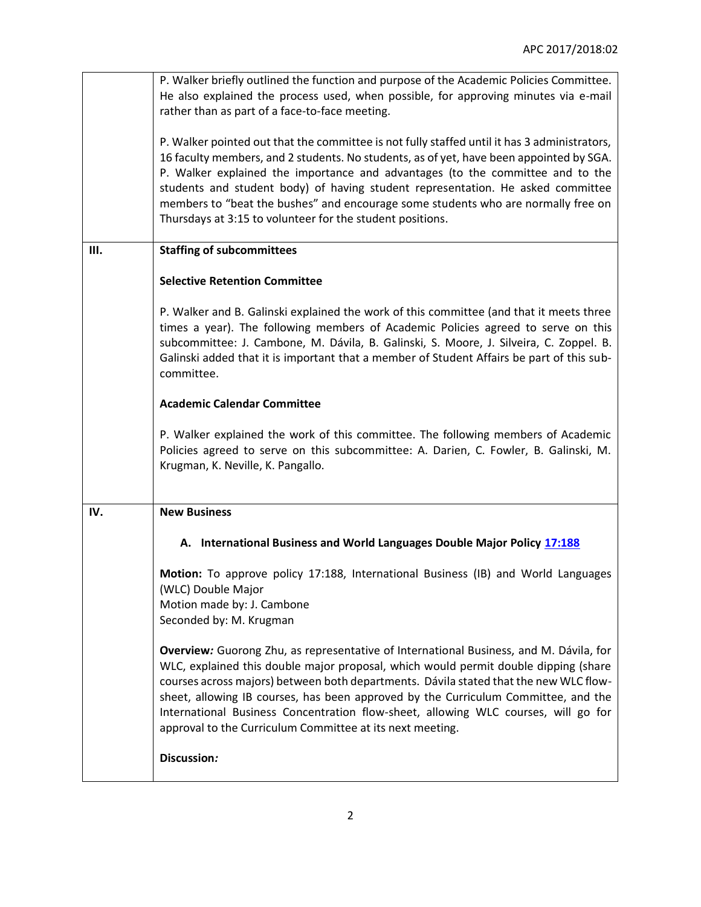|     | P. Walker briefly outlined the function and purpose of the Academic Policies Committee.<br>He also explained the process used, when possible, for approving minutes via e-mail<br>rather than as part of a face-to-face meeting.                                                                                                                                                                                                                                                                                |
|-----|-----------------------------------------------------------------------------------------------------------------------------------------------------------------------------------------------------------------------------------------------------------------------------------------------------------------------------------------------------------------------------------------------------------------------------------------------------------------------------------------------------------------|
|     | P. Walker pointed out that the committee is not fully staffed until it has 3 administrators,<br>16 faculty members, and 2 students. No students, as of yet, have been appointed by SGA.<br>P. Walker explained the importance and advantages (to the committee and to the<br>students and student body) of having student representation. He asked committee<br>members to "beat the bushes" and encourage some students who are normally free on<br>Thursdays at 3:15 to volunteer for the student positions.  |
| Ш.  | <b>Staffing of subcommittees</b>                                                                                                                                                                                                                                                                                                                                                                                                                                                                                |
|     | <b>Selective Retention Committee</b>                                                                                                                                                                                                                                                                                                                                                                                                                                                                            |
|     | P. Walker and B. Galinski explained the work of this committee (and that it meets three<br>times a year). The following members of Academic Policies agreed to serve on this<br>subcommittee: J. Cambone, M. Dávila, B. Galinski, S. Moore, J. Silveira, C. Zoppel. B.<br>Galinski added that it is important that a member of Student Affairs be part of this sub-<br>committee.                                                                                                                               |
|     | <b>Academic Calendar Committee</b>                                                                                                                                                                                                                                                                                                                                                                                                                                                                              |
|     | P. Walker explained the work of this committee. The following members of Academic<br>Policies agreed to serve on this subcommittee: A. Darien, C. Fowler, B. Galinski, M.<br>Krugman, K. Neville, K. Pangallo.                                                                                                                                                                                                                                                                                                  |
| IV. | <b>New Business</b>                                                                                                                                                                                                                                                                                                                                                                                                                                                                                             |
|     | A. International Business and World Languages Double Major Policy 17:188                                                                                                                                                                                                                                                                                                                                                                                                                                        |
|     | Motion: To approve policy 17:188, International Business (IB) and World Languages<br>(WLC) Double Major<br>Motion made by: J. Cambone<br>Seconded by: M. Krugman                                                                                                                                                                                                                                                                                                                                                |
|     | Overview: Guorong Zhu, as representative of International Business, and M. Dávila, for<br>WLC, explained this double major proposal, which would permit double dipping (share<br>courses across majors) between both departments. Dávila stated that the new WLC flow-<br>sheet, allowing IB courses, has been approved by the Curriculum Committee, and the<br>International Business Concentration flow-sheet, allowing WLC courses, will go for<br>approval to the Curriculum Committee at its next meeting. |
|     | Discussion:                                                                                                                                                                                                                                                                                                                                                                                                                                                                                                     |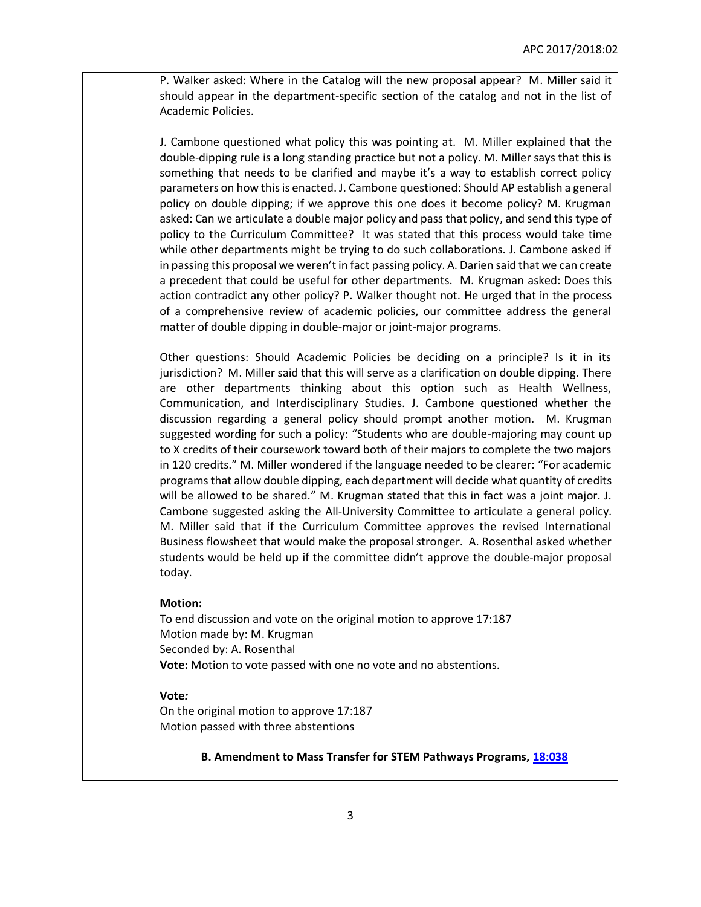P. Walker asked: Where in the Catalog will the new proposal appear? M. Miller said it should appear in the department-specific section of the catalog and not in the list of Academic Policies.

J. Cambone questioned what policy this was pointing at. M. Miller explained that the double-dipping rule is a long standing practice but not a policy. M. Miller says that this is something that needs to be clarified and maybe it's a way to establish correct policy parameters on how this is enacted. J. Cambone questioned: Should AP establish a general policy on double dipping; if we approve this one does it become policy? M. Krugman asked: Can we articulate a double major policy and pass that policy, and send this type of policy to the Curriculum Committee? It was stated that this process would take time while other departments might be trying to do such collaborations. J. Cambone asked if in passing this proposal we weren't in fact passing policy. A. Darien said that we can create a precedent that could be useful for other departments. M. Krugman asked: Does this action contradict any other policy? P. Walker thought not. He urged that in the process of a comprehensive review of academic policies, our committee address the general matter of double dipping in double-major or joint-major programs.

Other questions: Should Academic Policies be deciding on a principle? Is it in its jurisdiction? M. Miller said that this will serve as a clarification on double dipping. There are other departments thinking about this option such as Health Wellness, Communication, and Interdisciplinary Studies. J. Cambone questioned whether the discussion regarding a general policy should prompt another motion. M. Krugman suggested wording for such a policy: "Students who are double-majoring may count up to X credits of their coursework toward both of their majors to complete the two majors in 120 credits." M. Miller wondered if the language needed to be clearer: "For academic programs that allow double dipping, each department will decide what quantity of credits will be allowed to be shared." M. Krugman stated that this in fact was a joint major. J. Cambone suggested asking the All-University Committee to articulate a general policy. M. Miller said that if the Curriculum Committee approves the revised International Business flowsheet that would make the proposal stronger. A. Rosenthal asked whether students would be held up if the committee didn't approve the double-major proposal today.

## **Motion:**

To end discussion and vote on the original motion to approve 17:187 Motion made by: M. Krugman Seconded by: A. Rosenthal **Vote:** Motion to vote passed with one no vote and no abstentions.

## **Vote***:*

On the original motion to approve 17:187 Motion passed with three abstentions

**B. Amendment to Mass Transfer for STEM Pathways Programs, [18:038](https://polaris.salemstate.edu/governance/?trackingNum=18:038&search=all)**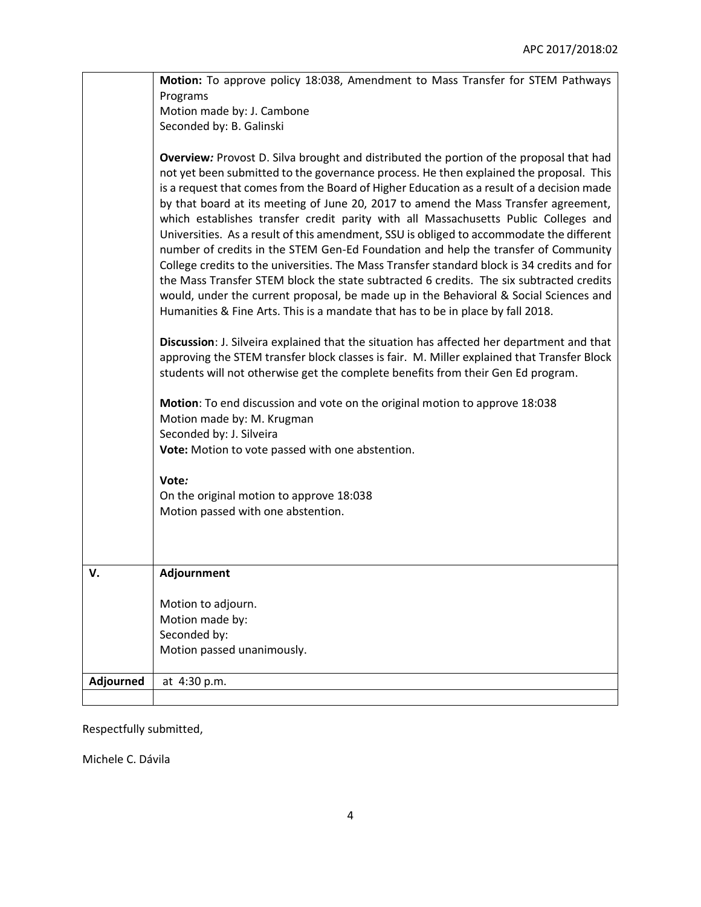|           | Motion: To approve policy 18:038, Amendment to Mass Transfer for STEM Pathways                                                                                                                                                                                                                                                                                                                                                                                                                                                                                                                                                                                                                                                                                                                                                                                                                                                                                                                                       |
|-----------|----------------------------------------------------------------------------------------------------------------------------------------------------------------------------------------------------------------------------------------------------------------------------------------------------------------------------------------------------------------------------------------------------------------------------------------------------------------------------------------------------------------------------------------------------------------------------------------------------------------------------------------------------------------------------------------------------------------------------------------------------------------------------------------------------------------------------------------------------------------------------------------------------------------------------------------------------------------------------------------------------------------------|
|           | Programs                                                                                                                                                                                                                                                                                                                                                                                                                                                                                                                                                                                                                                                                                                                                                                                                                                                                                                                                                                                                             |
|           | Motion made by: J. Cambone                                                                                                                                                                                                                                                                                                                                                                                                                                                                                                                                                                                                                                                                                                                                                                                                                                                                                                                                                                                           |
|           | Seconded by: B. Galinski                                                                                                                                                                                                                                                                                                                                                                                                                                                                                                                                                                                                                                                                                                                                                                                                                                                                                                                                                                                             |
|           | Overview: Provost D. Silva brought and distributed the portion of the proposal that had<br>not yet been submitted to the governance process. He then explained the proposal. This<br>is a request that comes from the Board of Higher Education as a result of a decision made<br>by that board at its meeting of June 20, 2017 to amend the Mass Transfer agreement,<br>which establishes transfer credit parity with all Massachusetts Public Colleges and<br>Universities. As a result of this amendment, SSU is obliged to accommodate the different<br>number of credits in the STEM Gen-Ed Foundation and help the transfer of Community<br>College credits to the universities. The Mass Transfer standard block is 34 credits and for<br>the Mass Transfer STEM block the state subtracted 6 credits. The six subtracted credits<br>would, under the current proposal, be made up in the Behavioral & Social Sciences and<br>Humanities & Fine Arts. This is a mandate that has to be in place by fall 2018. |
|           | Discussion: J. Silveira explained that the situation has affected her department and that<br>approving the STEM transfer block classes is fair. M. Miller explained that Transfer Block<br>students will not otherwise get the complete benefits from their Gen Ed program.                                                                                                                                                                                                                                                                                                                                                                                                                                                                                                                                                                                                                                                                                                                                          |
|           | Motion: To end discussion and vote on the original motion to approve 18:038<br>Motion made by: M. Krugman<br>Seconded by: J. Silveira                                                                                                                                                                                                                                                                                                                                                                                                                                                                                                                                                                                                                                                                                                                                                                                                                                                                                |
|           | Vote: Motion to vote passed with one abstention.                                                                                                                                                                                                                                                                                                                                                                                                                                                                                                                                                                                                                                                                                                                                                                                                                                                                                                                                                                     |
|           | Vote:                                                                                                                                                                                                                                                                                                                                                                                                                                                                                                                                                                                                                                                                                                                                                                                                                                                                                                                                                                                                                |
|           | On the original motion to approve 18:038                                                                                                                                                                                                                                                                                                                                                                                                                                                                                                                                                                                                                                                                                                                                                                                                                                                                                                                                                                             |
|           | Motion passed with one abstention.                                                                                                                                                                                                                                                                                                                                                                                                                                                                                                                                                                                                                                                                                                                                                                                                                                                                                                                                                                                   |
|           |                                                                                                                                                                                                                                                                                                                                                                                                                                                                                                                                                                                                                                                                                                                                                                                                                                                                                                                                                                                                                      |
| v.        | Adjournment                                                                                                                                                                                                                                                                                                                                                                                                                                                                                                                                                                                                                                                                                                                                                                                                                                                                                                                                                                                                          |
|           | Motion to adjourn.                                                                                                                                                                                                                                                                                                                                                                                                                                                                                                                                                                                                                                                                                                                                                                                                                                                                                                                                                                                                   |
|           | Motion made by:                                                                                                                                                                                                                                                                                                                                                                                                                                                                                                                                                                                                                                                                                                                                                                                                                                                                                                                                                                                                      |
|           | Seconded by:                                                                                                                                                                                                                                                                                                                                                                                                                                                                                                                                                                                                                                                                                                                                                                                                                                                                                                                                                                                                         |
|           | Motion passed unanimously.                                                                                                                                                                                                                                                                                                                                                                                                                                                                                                                                                                                                                                                                                                                                                                                                                                                                                                                                                                                           |
| Adjourned | at 4:30 p.m.                                                                                                                                                                                                                                                                                                                                                                                                                                                                                                                                                                                                                                                                                                                                                                                                                                                                                                                                                                                                         |
|           |                                                                                                                                                                                                                                                                                                                                                                                                                                                                                                                                                                                                                                                                                                                                                                                                                                                                                                                                                                                                                      |
|           |                                                                                                                                                                                                                                                                                                                                                                                                                                                                                                                                                                                                                                                                                                                                                                                                                                                                                                                                                                                                                      |

Respectfully submitted,

Michele C. Dávila